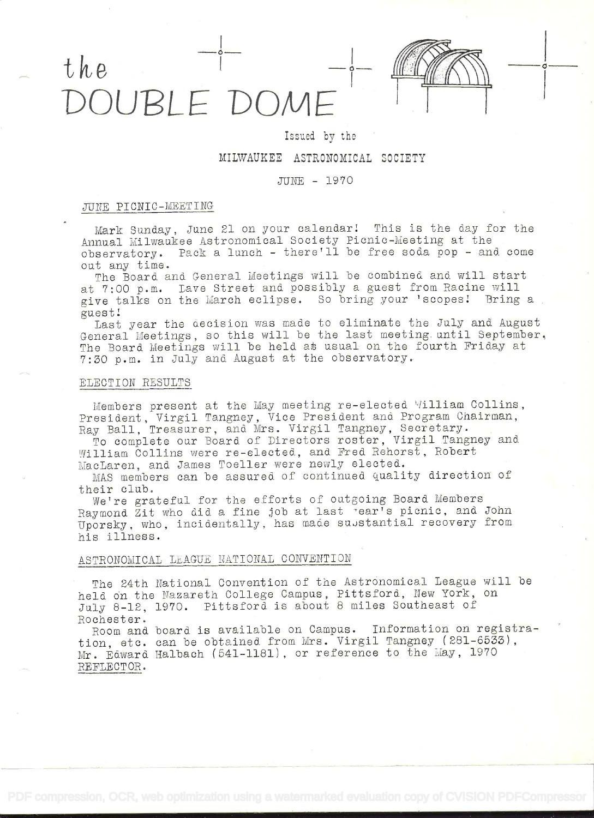



# Izsued by the

### MILWAUKEE ASTRONOMICAL SOCIETY

### JUNE - 1970

### JUNE PICNTC-MEETING

Mark Sunday, June 21 on your calendar! This is the day for the Annual Milwaukee Astronomical Society Picnic-Meeting at the observatory. Pack a lunch - there'll be free soda pop - and come oat any time.

The Board and General Meetings will be combined and will start at 7:00 p.m. Lave Street and possibly a guest from Racine will give talks on the March eclipse. So bring your 'scopes! Bring a guest!

Last year the decision was made to eliminate the July and August General Meetings, so this will be the last meeting until September. The Board Meetings will be held at usual on the fourth Friday at 7:30 p.m. in July and August at the observatory..

# ELECTION RESULTS

Members present at the May meeting re-elected William Collins, President, Virgil Tangney, Vice President and Program Chairman, Ray Ball, Treasurer, and Mrs. Virgil Tangney, Secretary.

To complete our Board of Directors roster, Virgil Tangney and William Collins were re-elected, and Fred Rehorst, Robert MacLaren, and James Toeller were newly elected.

MAS members can be assured of continued quality direction of their club.

We're grateful for the efforts of outgoing Board Members Raymond Zit who did a fine job at last 'ear's picnic, and John Uporsky, who, incidentally, has made substantial recovery from his illness.

# ASTRONOMICAL LEAGUE NATIONAL CONVENTION

The 24th National Convention of the Astronomical League will be held òn the Mazareth College Campus, Pittsford, New York, on July 8-12, 1970. Pittsford. is about 8 miles Southeast of Rochester.

Room and board is available on Campus. Information on registra- tion, etc. can be obtained from Mrs. Virgil Tangney (281-6533), Mr. Edward Halbach (541-1181), or reference to the May, 1970 REFLECTOR.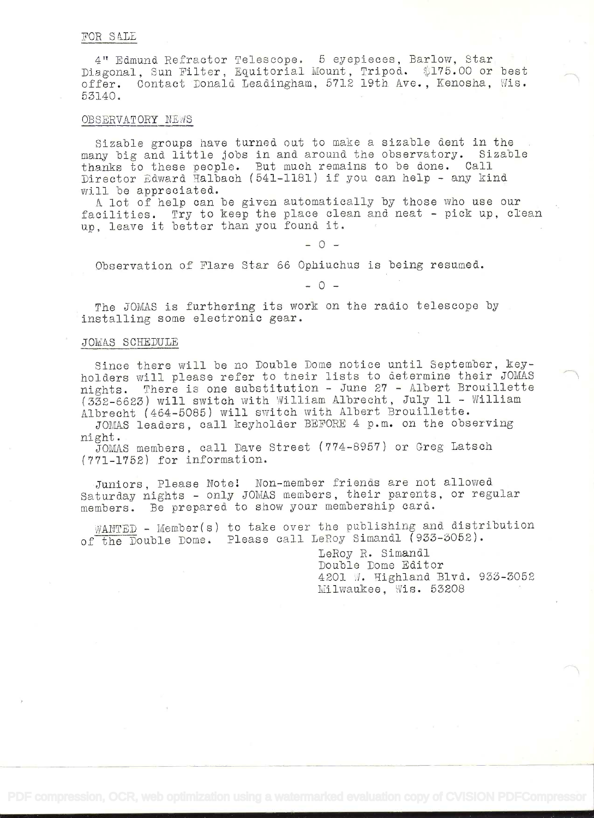### FOR SALE

4" Edmund Refractor Telescope. 5 eyepieces, Barlow, Star Diagonal. Sun Filter, Equitorial Mount, Tripod. \$175.00 or best offer. Contact Donald Leadingham, 5712 19th Ave., Kenosha, Wis. 53140.

# OBSERVATORY NEWS

Sizable groups have turned out to make a sizable dent in the many big and little jobs in and around the observatory. Sizable thanks to these people. But much remains to be done. Call Director Edward Halbach (541-1181) if you can help - any kind will be appreciated.

A lot of help can be given automatically by those who use our facilities. Try to keep the place clean and neat - pick up, clean up, leave it better than you found it.

 $- 0 =$ 

Observation of Flare Star 66 Ophiuchus is being resumed.

 $- 0 -$ 

The JOMAS is furthering its work on the radio telescope by installing some electronic gear.

# JOMAS SCHEDULE

Since there will be no Double Dome notice until September, keyholders will please refer to their lists to determine their JOMAS nights. There is one substitution - June 27 - Albert Brouillette (332-6623) will switch with William Albrecht, July 11 - William Albrecht (464-5085) will switch with Albert Brouillette.

JOMAS leaders, call keyholder BEFORE 4 p.m. on the observing night.

JOMAS members, call Dave Street (774-8957) or Greg Latsch (771-1752) for information.

Juniors, Please Note! Non-member friends are not allowed Saturday nights - only JOMAS members, their parents, or regular members. Be prepared to show your membership card.

WANTED - Member(s) to take over the publishing and distribution of the Double Dome. Please call LeRoy Simandl (933-3052).

> LeRoy R. Simandl Double Dome Editor 4201 W. Highland Blvd. 933-3052 Milwaukee, Wis. 53208